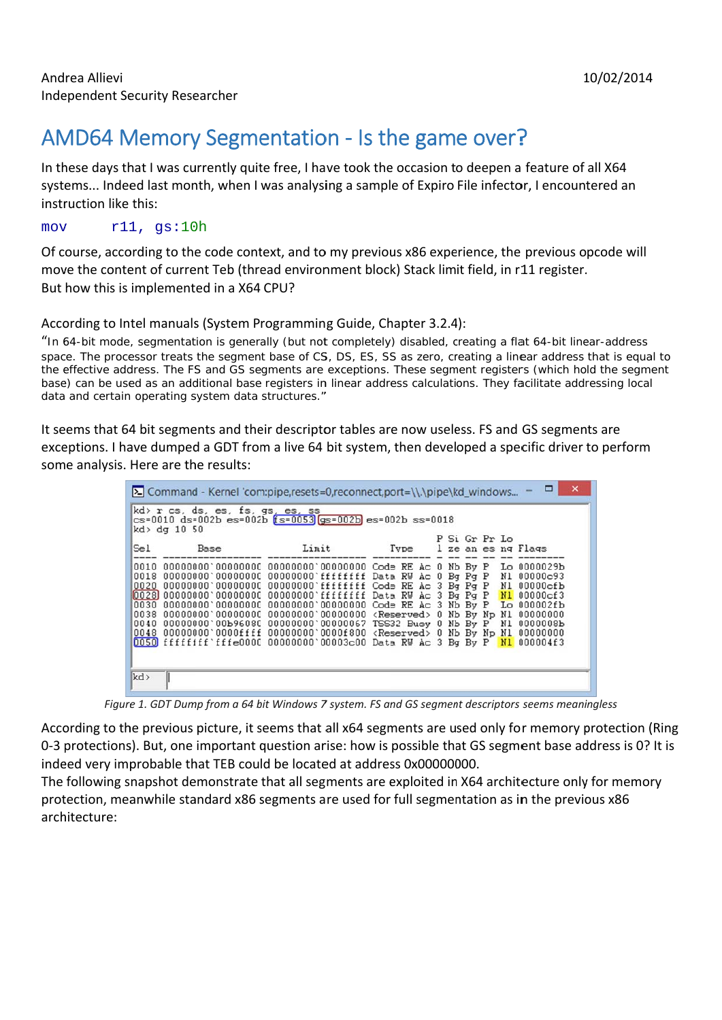## 10/02/2014

## AMD64 Memory Segmentation - Is the game over?

In these days that I was currently quite free, I have took the occasion to deepen a feature of all X64 systems... Indeed last month, when I was analysing a sample of Expiro File infector, I encountered an instruction like this:

 $r11, qs:10h$ mov

Of course, according to the code context, and to my previous x86 experience, the previous opcode will move the content of current Teb (thread environment block) Stack limit field, in r11 register. But how this is implemented in a X64 CPU?

## According to Intel manuals (System Programming Guide, Chapter 3.2.4):

"In 64-bit mode, segmentation is generally (but not completely) disabled, creating a flat 64-bit linear-address space. The processor treats the segment base of CS, DS, ES, SS as zero, creating a linear address that is equal to the effective address. The FS and GS segments are exceptions. These segment registers (which hold the segment base) can be used as an additional base registers in linear address calculations. They facilitate addressing local data and certain operating system data structures."

It seems that 64 bit segments and their descriptor tables are now useless. FS and GS segments are exceptions. I have dumped a GDT from a live 64 bit system, then developed a specific driver to perform some analysis. Here are the results:

| ×<br>$\Sigma$ Command - Kernel 'com:pipe,resets=0,reconnect,port=\\.\pipe\kd_windows                                  |                                                                                                                                                                                                                                                                                                                                                                                                                                                                                                                                                                                    |       |                          |  |  |               |  |
|-----------------------------------------------------------------------------------------------------------------------|------------------------------------------------------------------------------------------------------------------------------------------------------------------------------------------------------------------------------------------------------------------------------------------------------------------------------------------------------------------------------------------------------------------------------------------------------------------------------------------------------------------------------------------------------------------------------------|-------|--------------------------|--|--|---------------|--|
| kd> r cs, ds, es, fs, gs, es, ss<br>$cs=0010$ ds=002b $es=002b$ $fs=0053$ $qs=002b$ $es=002b$ ss=0018<br>kd> dg 10 50 |                                                                                                                                                                                                                                                                                                                                                                                                                                                                                                                                                                                    |       |                          |  |  |               |  |
| Sel                                                                                                                   | Base                                                                                                                                                                                                                                                                                                                                                                                                                                                                                                                                                                               | Limit | Type 1 ze an es ng Flags |  |  | P Si Gr Pr Lo |  |
| 0018<br>0020<br>0040                                                                                                  | 00000000'00000000 00000000'fffffffff Data RV Ac 0 Bq Pq P N1 00000c93<br>00000000'00000000 00000000'ffffffff Code RE Ac 3 Bg Pg P N1 00000cfb<br>10028]00000000`00000000 00000000`ffffffff Data RW Ac 3 Bg Pg P <mark>Nl</mark> 00000cf3<br>0038 00000000'00000000 00000000'00000000 <reserved> 0 Nb By Np Nl 00000000<br/>00000000'00b96080 00000000'00000067 TSS32 Busy 0 Nb By P N1 0000008b<br/>0048 00000000'0000ffff 00000000'0000f800 <reserved> 0 Nb By Np Nl 00000000<br/>0050 ffffffff fffe0000 00000000 00003c00 Data RW Ac 3 Bg By P N1 000004f3</reserved></reserved> |       |                          |  |  |               |  |
| kd>                                                                                                                   |                                                                                                                                                                                                                                                                                                                                                                                                                                                                                                                                                                                    |       |                          |  |  |               |  |

Figure 1. GDT Dump from a 64 bit Windows 7 system. FS and GS segment descriptors seems meaningless

According to the previous picture, it seems that all x64 segments are used only for memory protection (Ring 0-3 protections). But, one important question arise: how is possible that GS segment base address is 0? It is indeed very improbable that TEB could be located at address 0x00000000.

The following snapshot demonstrate that all segments are exploited in X64 architecture only for memory protection, meanwhile standard x86 segments are used for full segmentation as in the previous x86 architecture: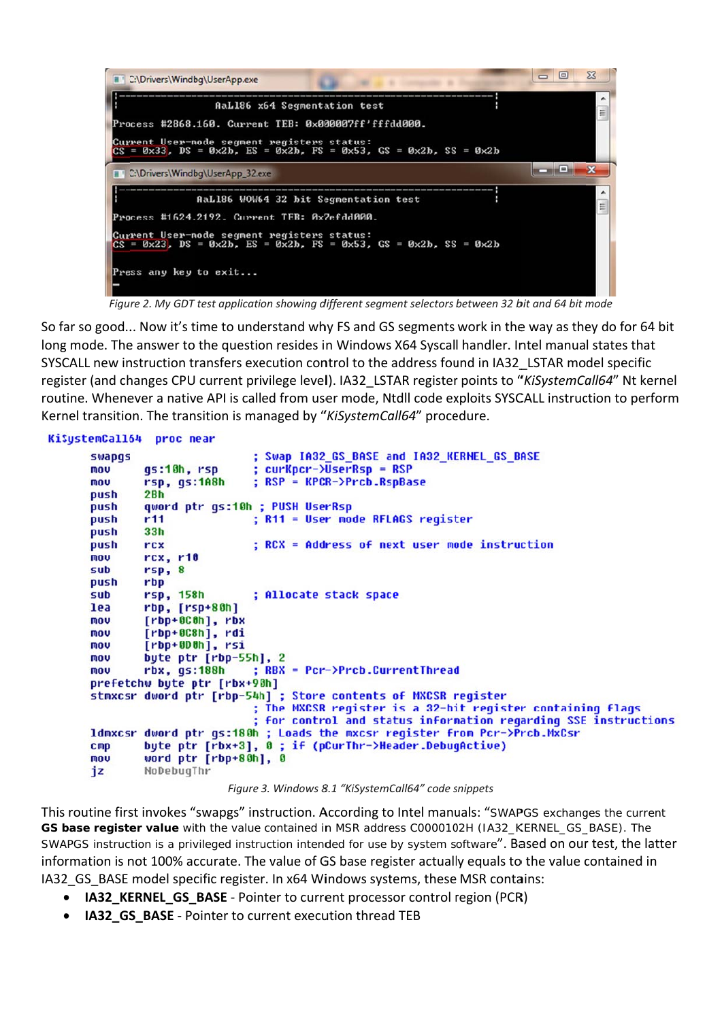

Figure 2. My GDT test application showing different segment selectors between 32 bit and 64 bit mode

So far so good... Now it's time to understand why FS and GS segments work in the way as they do for 64 bit long mode. The answer to the question resides in Windows X64 Syscall handler. Intel manual states that SYSCALL new instruction transfers execution control to the address found in IA32 LSTAR model specific register (and changes CPU current privilege level). IA32 LSTAR register points to "KiSystemCall64" Nt kernel routine. Whenever a native API is called from user mode. Ntdll code exploits SYSCALL instruction to perform Kernel transition. The transition is managed by "KiSystemCall64" procedure.

## KiSystemCall64 proc near

```
; Swap IA32_GS_BASE and IA32_KERNEL_GS_BASE
swapqs
                        ; curKpcr->UserRsp = RSP
        gs:10h, rsp
mou
mou
        rsp, gs:1A8h
                        ; RSP = KPCR->Prcb.RspBase
        2Bhpush
        qword ptr qs:10h ; PUSH UserRsp
push
                        ; R11 = User mode RFLAGS register
push
        r1133hpush
push
                        ; RCX = Address of next user mode instruction
        rcx
mou
        rcx, r10sub
        rsp, 8nush
        rbp
        rsp, 158h
                        ; Allocate stack space
sub
lea
        rbp, [rsp+80h]
        [rbp+0C0h], rbx
mou
        [rbp+0C8h], rdi
mou
mou
        [rbp+6D6h], rsimou
        byte ptr [rbp-55h], 2
                        ; RBX = Pcr->Prcb.CurrentThread
        rbx, qs:188hmou
prefetchw byte ptr [rbx+90h]
stmxcsr dword ptr [rbp-54h] ; Store contents of MXCSR register
                        ; The MXCSR register is a 32-bit register containing flags
                         ; for control and status information regarding SSE instructions
ldmxcsr dword ptr gs:180h ; Loads the mxcsr register from Pcr->Prcb.MxCsr
        byte ptr [rbx+3], 0 ; if (pCurThr->Header.DebugActive)
CMDword ptr [rbp+80h], 0
nov
jz
        NoDebugThr
```
Figure 3. Windows 8.1 "KiSystemCall64" code snippets

This routine first invokes "swapgs" instruction. According to Intel manuals: "SWAPGS exchanges the current GS base register value with the value contained in MSR address C0000102H (IA32\_KERNEL\_GS\_BASE). The SWAPGS instruction is a privileged instruction intended for use by system software". Based on our test, the latter information is not 100% accurate. The value of GS base register actually equals to the value contained in IA32 GS BASE model specific register. In x64 Windows systems, these MSR contains:

- IA32 KERNEL GS BASE Pointer to current processor control region (PCR)
- $\bullet$ IA32 GS BASE - Pointer to current execution thread TEB